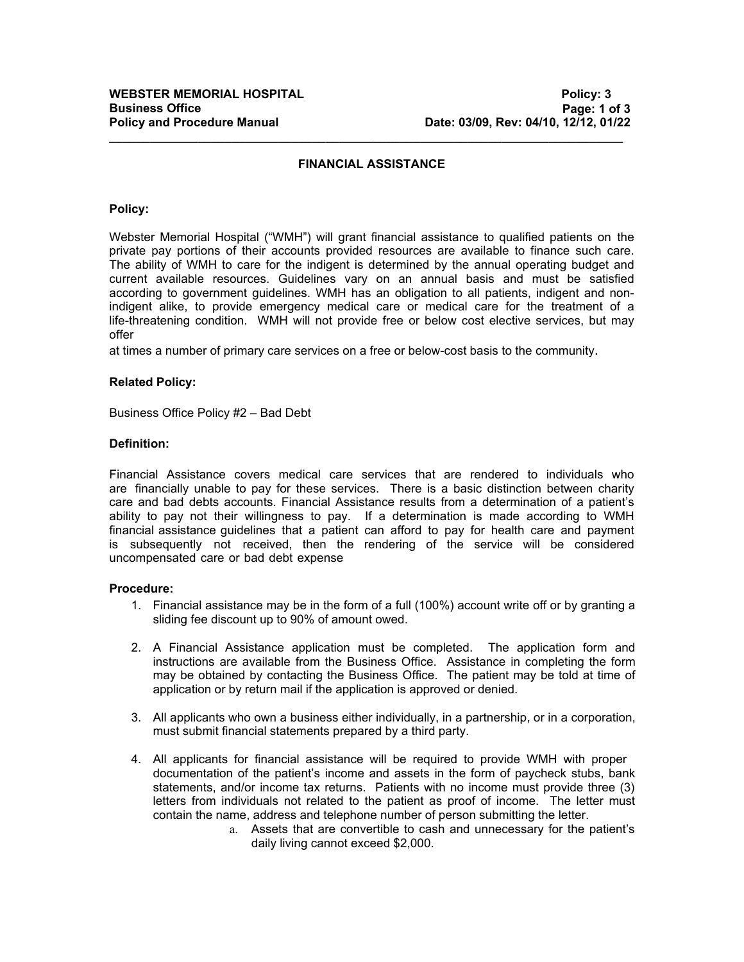# **FINANCIAL ASSISTANCE**

**\_\_\_\_\_\_\_\_\_\_\_\_\_\_\_\_\_\_\_\_\_\_\_\_\_\_\_\_\_\_\_\_\_\_\_\_\_\_\_\_\_\_\_\_\_\_\_\_\_\_\_\_\_\_\_\_\_\_\_\_\_\_\_\_\_\_\_\_\_\_\_\_\_\_\_\_**

#### **Policy:**

Webster Memorial Hospital ("WMH") will grant financial assistance to qualified patients on the private pay portions of their accounts provided resources are available to finance such care. The ability of WMH to care for the indigent is determined by the annual operating budget and current available resources. Guidelines vary on an annual basis and must be satisfied according to government guidelines. WMH has an obligation to all patients, indigent and nonindigent alike, to provide emergency medical care or medical care for the treatment of a life-threatening condition. WMH will not provide free or below cost elective services, but may offer

at times a number of primary care services on a free or below-cost basis to the community.

## **Related Policy:**

Business Office Policy #2 – Bad Debt

#### **Definition:**

Financial Assistance covers medical care services that are rendered to individuals who are financially unable to pay for these services. There is a basic distinction between charity care and bad debts accounts. Financial Assistance results from a determination of a patient's ability to pay not their willingness to pay. If a determination is made according to WMH financial assistance guidelines that a patient can afford to pay for health care and payment is subsequently not received, then the rendering of the service will be considered uncompensated care or bad debt expense

## **Procedure:**

- 1. Financial assistance may be in the form of a full (100%) account write off or by granting a sliding fee discount up to 90% of amount owed.
- 2. A Financial Assistance application must be completed. The application form and instructions are available from the Business Office. Assistance in completing the form may be obtained by contacting the Business Office. The patient may be told at time of application or by return mail if the application is approved or denied.
- 3. All applicants who own a business either individually, in a partnership, or in a corporation, must submit financial statements prepared by a third party.
- 4. All applicants for financial assistance will be required to provide WMH with proper documentation of the patient's income and assets in the form of paycheck stubs, bank statements, and/or income tax returns. Patients with no income must provide three (3) letters from individuals not related to the patient as proof of income. The letter must contain the name, address and telephone number of person submitting the letter.
	- a. Assets that are convertible to cash and unnecessary for the patient's daily living cannot exceed \$2,000.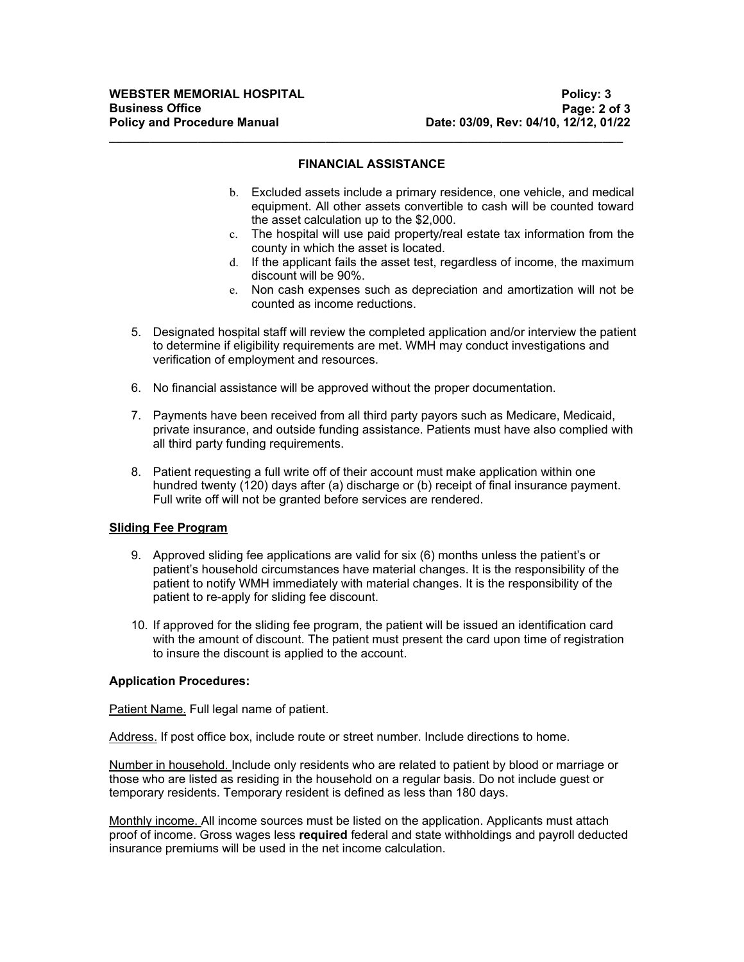## **FINANCIAL ASSISTANCE**

**\_\_\_\_\_\_\_\_\_\_\_\_\_\_\_\_\_\_\_\_\_\_\_\_\_\_\_\_\_\_\_\_\_\_\_\_\_\_\_\_\_\_\_\_\_\_\_\_\_\_\_\_\_\_\_\_\_\_\_\_\_\_\_\_\_\_\_\_\_\_\_\_\_\_\_\_**

- b. Excluded assets include a primary residence, one vehicle, and medical equipment. All other assets convertible to cash will be counted toward the asset calculation up to the \$2,000.
- c. The hospital will use paid property/real estate tax information from the county in which the asset is located.
- d. If the applicant fails the asset test, regardless of income, the maximum discount will be 90%.
- e. Non cash expenses such as depreciation and amortization will not be counted as income reductions.
- 5. Designated hospital staff will review the completed application and/or interview the patient to determine if eligibility requirements are met. WMH may conduct investigations and verification of employment and resources.
- 6. No financial assistance will be approved without the proper documentation.
- 7. Payments have been received from all third party payors such as Medicare, Medicaid, private insurance, and outside funding assistance. Patients must have also complied with all third party funding requirements.
- 8. Patient requesting a full write off of their account must make application within one hundred twenty (120) days after (a) discharge or (b) receipt of final insurance payment. Full write off will not be granted before services are rendered.

## **Sliding Fee Program**

- 9. Approved sliding fee applications are valid for six (6) months unless the patient's or patient's household circumstances have material changes. It is the responsibility of the patient to notify WMH immediately with material changes. It is the responsibility of the patient to re-apply for sliding fee discount.
- 10. If approved for the sliding fee program, the patient will be issued an identification card with the amount of discount. The patient must present the card upon time of registration to insure the discount is applied to the account.

# **Application Procedures:**

Patient Name. Full legal name of patient.

Address. If post office box, include route or street number. Include directions to home.

Number in household. Include only residents who are related to patient by blood or marriage or those who are listed as residing in the household on a regular basis. Do not include guest or temporary residents. Temporary resident is defined as less than 180 days.

Monthly income. All income sources must be listed on the application. Applicants must attach proof of income. Gross wages less **required** federal and state withholdings and payroll deducted insurance premiums will be used in the net income calculation.